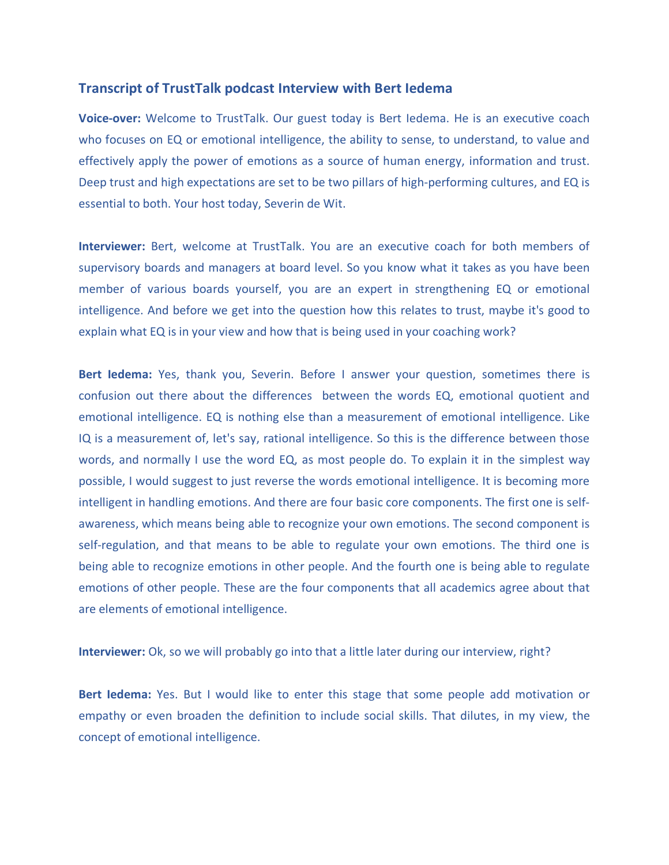## **Transcript of TrustTalk podcast Interview with Bert Iedema**

**Voice-over:** Welcome to TrustTalk. Our guest today is Bert Iedema. He is an executive coach who focuses on EQ or emotional intelligence, the ability to sense, to understand, to value and effectively apply the power of emotions as a source of human energy, information and trust. Deep trust and high expectations are set to be two pillars of high-performing cultures, and EQ is essential to both. Your host today, Severin de Wit.

**Interviewer:** Bert, welcome at TrustTalk. You are an executive coach for both members of supervisory boards and managers at board level. So you know what it takes as you have been member of various boards yourself, you are an expert in strengthening EQ or emotional intelligence. And before we get into the question how this relates to trust, maybe it's good to explain what EQ is in your view and how that is being used in your coaching work?

**Bert Iedema:** Yes, thank you, Severin. Before I answer your question, sometimes there is confusion out there about the differences between the words EQ, emotional quotient and emotional intelligence. EQ is nothing else than a measurement of emotional intelligence. Like IQ is a measurement of, let's say, rational intelligence. So this is the difference between those words, and normally I use the word EQ, as most people do. To explain it in the simplest way possible, I would suggest to just reverse the words emotional intelligence. It is becoming more intelligent in handling emotions. And there are four basic core components. The first one is selfawareness, which means being able to recognize your own emotions. The second component is self-regulation, and that means to be able to regulate your own emotions. The third one is being able to recognize emotions in other people. And the fourth one is being able to regulate emotions of other people. These are the four components that all academics agree about that are elements of emotional intelligence.

**Interviewer:** Ok, so we will probably go into that a little later during our interview, right?

**Bert Iedema:** Yes. But I would like to enter this stage that some people add motivation or empathy or even broaden the definition to include social skills. That dilutes, in my view, the concept of emotional intelligence.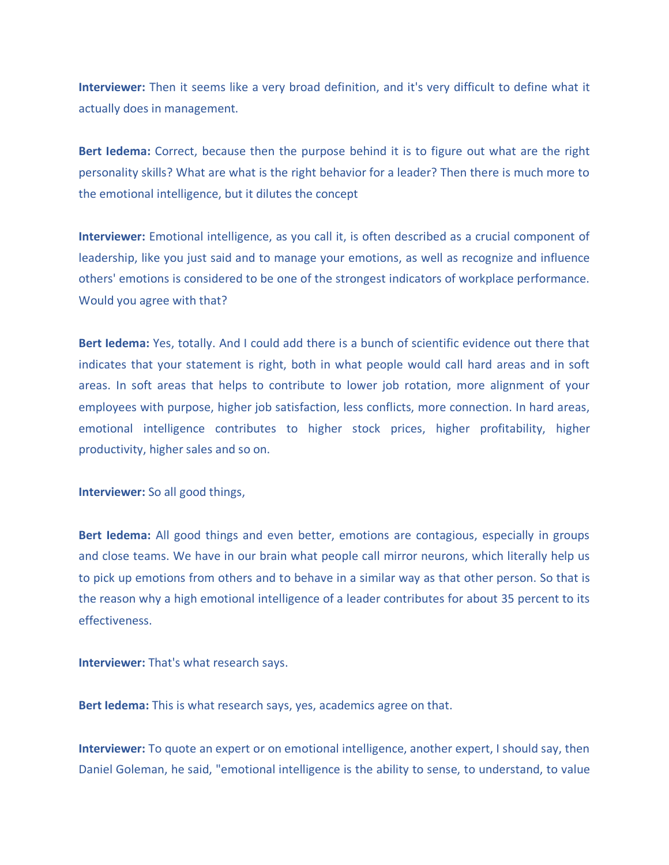**Interviewer:** Then it seems like a very broad definition, and it's very difficult to define what it actually does in management.

**Bert Iedema:** Correct, because then the purpose behind it is to figure out what are the right personality skills? What are what is the right behavior for a leader? Then there is much more to the emotional intelligence, but it dilutes the concept

**Interviewer:** Emotional intelligence, as you call it, is often described as a crucial component of leadership, like you just said and to manage your emotions, as well as recognize and influence others' emotions is considered to be one of the strongest indicators of workplace performance. Would you agree with that?

**Bert Iedema:** Yes, totally. And I could add there is a bunch of scientific evidence out there that indicates that your statement is right, both in what people would call hard areas and in soft areas. In soft areas that helps to contribute to lower job rotation, more alignment of your employees with purpose, higher job satisfaction, less conflicts, more connection. In hard areas, emotional intelligence contributes to higher stock prices, higher profitability, higher productivity, higher sales and so on.

**Interviewer:** So all good things,

**Bert Iedema:** All good things and even better, emotions are contagious, especially in groups and close teams. We have in our brain what people call mirror neurons, which literally help us to pick up emotions from others and to behave in a similar way as that other person. So that is the reason why a high emotional intelligence of a leader contributes for about 35 percent to its effectiveness.

**Interviewer:** That's what research says.

**Bert Iedema:** This is what research says, yes, academics agree on that.

**Interviewer:** To quote an expert or on emotional intelligence, another expert, I should say, then Daniel Goleman, he said, "emotional intelligence is the ability to sense, to understand, to value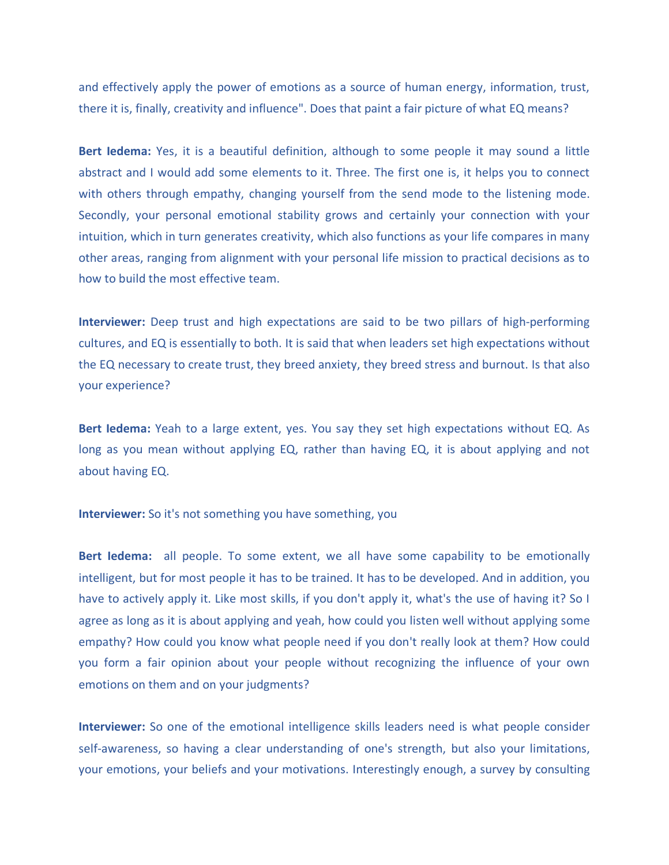and effectively apply the power of emotions as a source of human energy, information, trust, there it is, finally, creativity and influence". Does that paint a fair picture of what EQ means?

**Bert Iedema:** Yes, it is a beautiful definition, although to some people it may sound a little abstract and I would add some elements to it. Three. The first one is, it helps you to connect with others through empathy, changing yourself from the send mode to the listening mode. Secondly, your personal emotional stability grows and certainly your connection with your intuition, which in turn generates creativity, which also functions as your life compares in many other areas, ranging from alignment with your personal life mission to practical decisions as to how to build the most effective team.

**Interviewer:** Deep trust and high expectations are said to be two pillars of high-performing cultures, and EQ is essentially to both. It is said that when leaders set high expectations without the EQ necessary to create trust, they breed anxiety, they breed stress and burnout. Is that also your experience?

**Bert Iedema:** Yeah to a large extent, yes. You say they set high expectations without EQ. As long as you mean without applying EQ, rather than having EQ, it is about applying and not about having EQ.

**Interviewer:** So it's not something you have something, you

**Bert Iedema:** all people. To some extent, we all have some capability to be emotionally intelligent, but for most people it has to be trained. It has to be developed. And in addition, you have to actively apply it. Like most skills, if you don't apply it, what's the use of having it? So I agree as long as it is about applying and yeah, how could you listen well without applying some empathy? How could you know what people need if you don't really look at them? How could you form a fair opinion about your people without recognizing the influence of your own emotions on them and on your judgments?

**Interviewer:** So one of the emotional intelligence skills leaders need is what people consider self-awareness, so having a clear understanding of one's strength, but also your limitations, your emotions, your beliefs and your motivations. Interestingly enough, a survey by consulting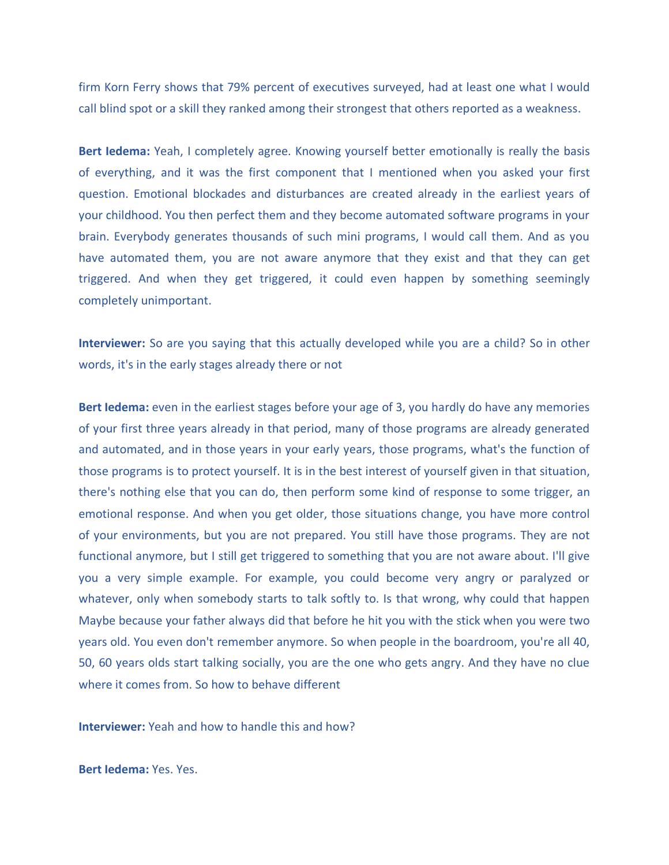firm Korn Ferry shows that 79% percent of executives surveyed, had at least one what I would call blind spot or a skill they ranked among their strongest that others reported as a weakness.

**Bert Iedema:** Yeah, I completely agree. Knowing yourself better emotionally is really the basis of everything, and it was the first component that I mentioned when you asked your first question. Emotional blockades and disturbances are created already in the earliest years of your childhood. You then perfect them and they become automated software programs in your brain. Everybody generates thousands of such mini programs, I would call them. And as you have automated them, you are not aware anymore that they exist and that they can get triggered. And when they get triggered, it could even happen by something seemingly completely unimportant.

**Interviewer:** So are you saying that this actually developed while you are a child? So in other words, it's in the early stages already there or not

**Bert Iedema:** even in the earliest stages before your age of 3, you hardly do have any memories of your first three years already in that period, many of those programs are already generated and automated, and in those years in your early years, those programs, what's the function of those programs is to protect yourself. It is in the best interest of yourself given in that situation, there's nothing else that you can do, then perform some kind of response to some trigger, an emotional response. And when you get older, those situations change, you have more control of your environments, but you are not prepared. You still have those programs. They are not functional anymore, but I still get triggered to something that you are not aware about. I'll give you a very simple example. For example, you could become very angry or paralyzed or whatever, only when somebody starts to talk softly to. Is that wrong, why could that happen Maybe because your father always did that before he hit you with the stick when you were two years old. You even don't remember anymore. So when people in the boardroom, you're all 40, 50, 60 years olds start talking socially, you are the one who gets angry. And they have no clue where it comes from. So how to behave different

**Interviewer:** Yeah and how to handle this and how?

**Bert Iedema:** Yes. Yes.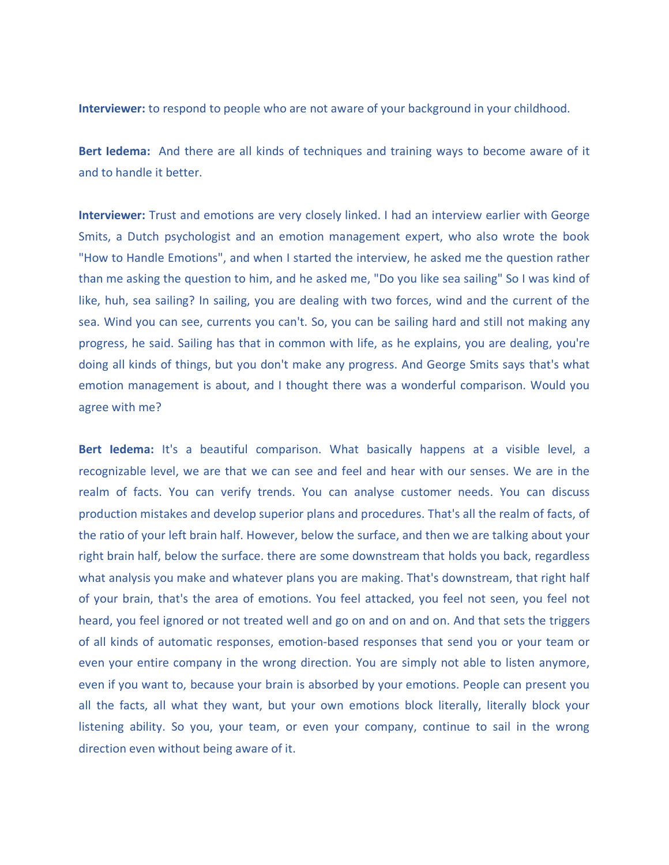**Interviewer:** to respond to people who are not aware of your background in your childhood.

**Bert Iedema:** And there are all kinds of techniques and training ways to become aware of it and to handle it better.

**Interviewer:** Trust and emotions are very closely linked. I had an interview earlier with George Smits, a Dutch psychologist and an emotion management expert, who also wrote the book "How to Handle Emotions", and when I started the interview, he asked me the question rather than me asking the question to him, and he asked me, "Do you like sea sailing" So I was kind of like, huh, sea sailing? In sailing, you are dealing with two forces, wind and the current of the sea. Wind you can see, currents you can't. So, you can be sailing hard and still not making any progress, he said. Sailing has that in common with life, as he explains, you are dealing, you're doing all kinds of things, but you don't make any progress. And George Smits says that's what emotion management is about, and I thought there was a wonderful comparison. Would you agree with me?

**Bert Iedema:** It's a beautiful comparison. What basically happens at a visible level, a recognizable level, we are that we can see and feel and hear with our senses. We are in the realm of facts. You can verify trends. You can analyse customer needs. You can discuss production mistakes and develop superior plans and procedures. That's all the realm of facts, of the ratio of your left brain half. However, below the surface, and then we are talking about your right brain half, below the surface. there are some downstream that holds you back, regardless what analysis you make and whatever plans you are making. That's downstream, that right half of your brain, that's the area of emotions. You feel attacked, you feel not seen, you feel not heard, you feel ignored or not treated well and go on and on and on. And that sets the triggers of all kinds of automatic responses, emotion-based responses that send you or your team or even your entire company in the wrong direction. You are simply not able to listen anymore, even if you want to, because your brain is absorbed by your emotions. People can present you all the facts, all what they want, but your own emotions block literally, literally block your listening ability. So you, your team, or even your company, continue to sail in the wrong direction even without being aware of it.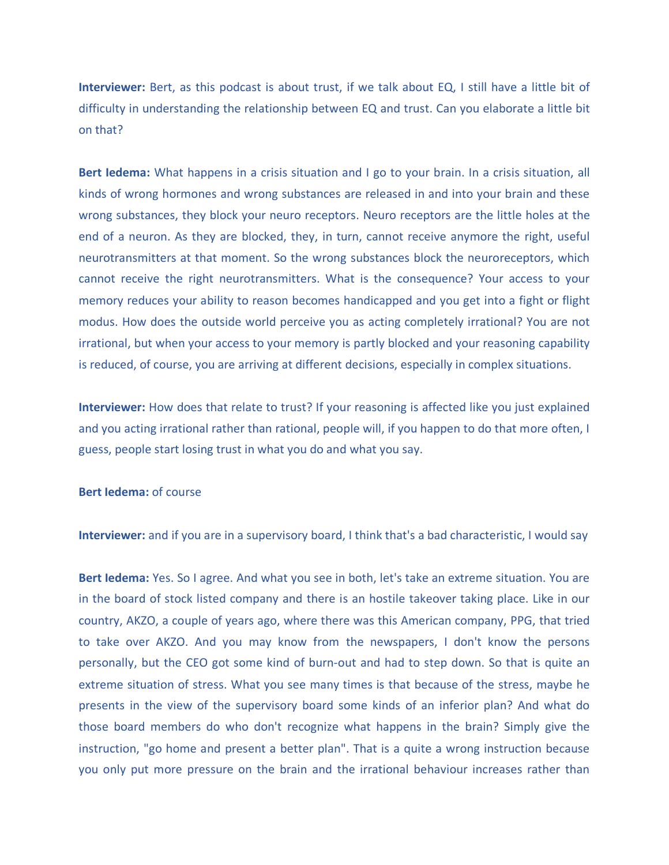**Interviewer:** Bert, as this podcast is about trust, if we talk about EQ, I still have a little bit of difficulty in understanding the relationship between EQ and trust. Can you elaborate a little bit on that?

**Bert Iedema:** What happens in a crisis situation and I go to your brain. In a crisis situation, all kinds of wrong hormones and wrong substances are released in and into your brain and these wrong substances, they block your neuro receptors. Neuro receptors are the little holes at the end of a neuron. As they are blocked, they, in turn, cannot receive anymore the right, useful neurotransmitters at that moment. So the wrong substances block the neuroreceptors, which cannot receive the right neurotransmitters. What is the consequence? Your access to your memory reduces your ability to reason becomes handicapped and you get into a fight or flight modus. How does the outside world perceive you as acting completely irrational? You are not irrational, but when your access to your memory is partly blocked and your reasoning capability is reduced, of course, you are arriving at different decisions, especially in complex situations.

**Interviewer:** How does that relate to trust? If your reasoning is affected like you just explained and you acting irrational rather than rational, people will, if you happen to do that more often, I guess, people start losing trust in what you do and what you say.

## **Bert ledema:** of course

**Interviewer:** and if you are in a supervisory board, I think that's a bad characteristic, I would say

**Bert Iedema:** Yes. So I agree. And what you see in both, let's take an extreme situation. You are in the board of stock listed company and there is an hostile takeover taking place. Like in our country, AKZO, a couple of years ago, where there was this American company, PPG, that tried to take over AKZO. And you may know from the newspapers, I don't know the persons personally, but the CEO got some kind of burn-out and had to step down. So that is quite an extreme situation of stress. What you see many times is that because of the stress, maybe he presents in the view of the supervisory board some kinds of an inferior plan? And what do those board members do who don't recognize what happens in the brain? Simply give the instruction, "go home and present a better plan". That is a quite a wrong instruction because you only put more pressure on the brain and the irrational behaviour increases rather than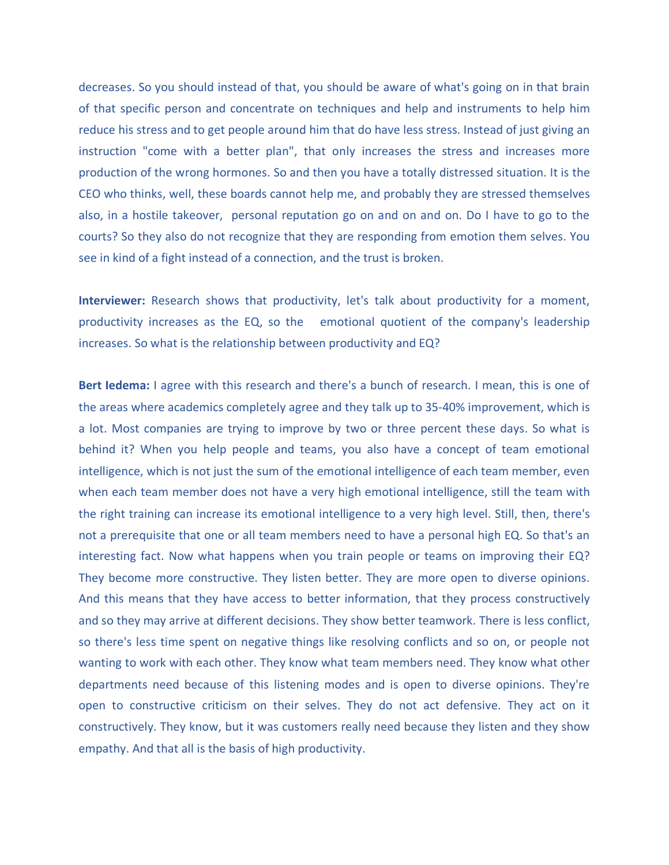decreases. So you should instead of that, you should be aware of what's going on in that brain of that specific person and concentrate on techniques and help and instruments to help him reduce his stress and to get people around him that do have less stress. Instead of just giving an instruction "come with a better plan", that only increases the stress and increases more production of the wrong hormones. So and then you have a totally distressed situation. It is the CEO who thinks, well, these boards cannot help me, and probably they are stressed themselves also, in a hostile takeover, personal reputation go on and on and on. Do I have to go to the courts? So they also do not recognize that they are responding from emotion them selves. You see in kind of a fight instead of a connection, and the trust is broken.

**Interviewer:** Research shows that productivity, let's talk about productivity for a moment, productivity increases as the EQ, so the emotional quotient of the company's leadership increases. So what is the relationship between productivity and EQ?

**Bert Iedema:** I agree with this research and there's a bunch of research. I mean, this is one of the areas where academics completely agree and they talk up to 35-40% improvement, which is a lot. Most companies are trying to improve by two or three percent these days. So what is behind it? When you help people and teams, you also have a concept of team emotional intelligence, which is not just the sum of the emotional intelligence of each team member, even when each team member does not have a very high emotional intelligence, still the team with the right training can increase its emotional intelligence to a very high level. Still, then, there's not a prerequisite that one or all team members need to have a personal high EQ. So that's an interesting fact. Now what happens when you train people or teams on improving their EQ? They become more constructive. They listen better. They are more open to diverse opinions. And this means that they have access to better information, that they process constructively and so they may arrive at different decisions. They show better teamwork. There is less conflict, so there's less time spent on negative things like resolving conflicts and so on, or people not wanting to work with each other. They know what team members need. They know what other departments need because of this listening modes and is open to diverse opinions. They're open to constructive criticism on their selves. They do not act defensive. They act on it constructively. They know, but it was customers really need because they listen and they show empathy. And that all is the basis of high productivity.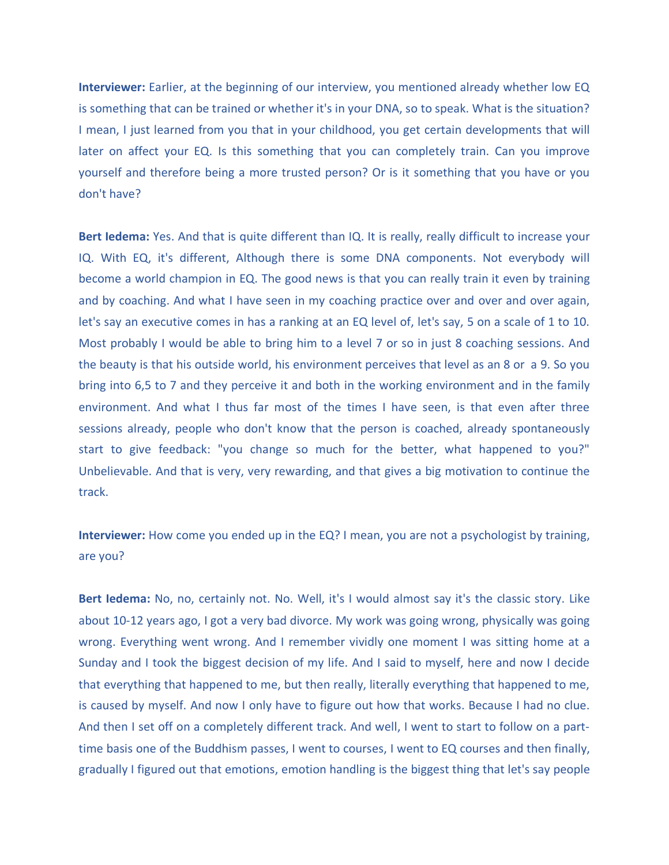**Interviewer:** Earlier, at the beginning of our interview, you mentioned already whether low EQ is something that can be trained or whether it's in your DNA, so to speak. What is the situation? I mean, I just learned from you that in your childhood, you get certain developments that will later on affect your EQ. Is this something that you can completely train. Can you improve yourself and therefore being a more trusted person? Or is it something that you have or you don't have?

**Bert Iedema:** Yes. And that is quite different than IQ. It is really, really difficult to increase your IQ. With EQ, it's different, Although there is some DNA components. Not everybody will become a world champion in EQ. The good news is that you can really train it even by training and by coaching. And what I have seen in my coaching practice over and over and over again, let's say an executive comes in has a ranking at an EQ level of, let's say, 5 on a scale of 1 to 10. Most probably I would be able to bring him to a level 7 or so in just 8 coaching sessions. And the beauty is that his outside world, his environment perceives that level as an 8 or a 9. So you bring into 6,5 to 7 and they perceive it and both in the working environment and in the family environment. And what I thus far most of the times I have seen, is that even after three sessions already, people who don't know that the person is coached, already spontaneously start to give feedback: "you change so much for the better, what happened to you?" Unbelievable. And that is very, very rewarding, and that gives a big motivation to continue the track.

**Interviewer:** How come you ended up in the EQ? I mean, you are not a psychologist by training, are you?

**Bert Iedema:** No, no, certainly not. No. Well, it's I would almost say it's the classic story. Like about 10-12 years ago, I got a very bad divorce. My work was going wrong, physically was going wrong. Everything went wrong. And I remember vividly one moment I was sitting home at a Sunday and I took the biggest decision of my life. And I said to myself, here and now I decide that everything that happened to me, but then really, literally everything that happened to me, is caused by myself. And now I only have to figure out how that works. Because I had no clue. And then I set off on a completely different track. And well, I went to start to follow on a parttime basis one of the Buddhism passes, I went to courses, I went to EQ courses and then finally, gradually I figured out that emotions, emotion handling is the biggest thing that let's say people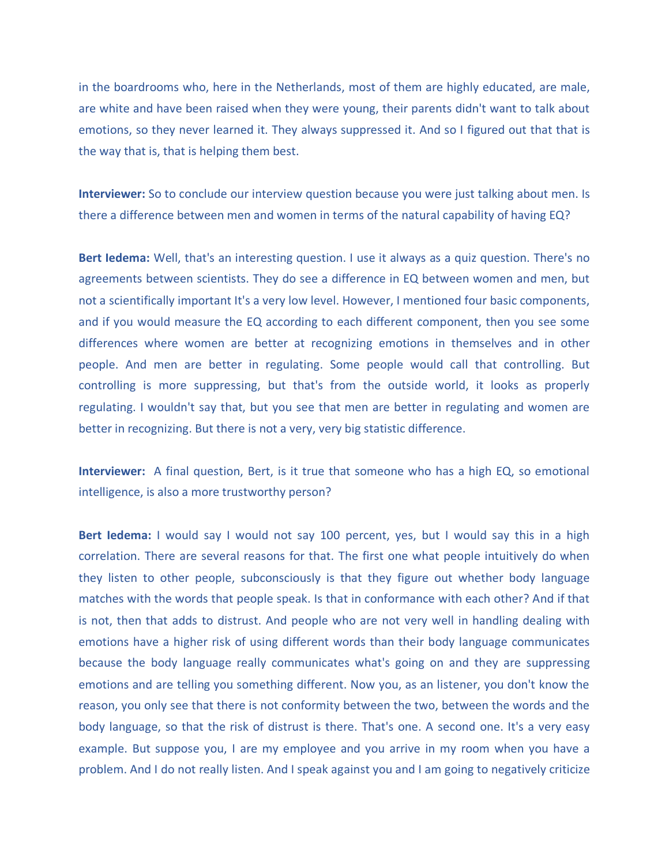in the boardrooms who, here in the Netherlands, most of them are highly educated, are male, are white and have been raised when they were young, their parents didn't want to talk about emotions, so they never learned it. They always suppressed it. And so I figured out that that is the way that is, that is helping them best.

**Interviewer:** So to conclude our interview question because you were just talking about men. Is there a difference between men and women in terms of the natural capability of having EQ?

**Bert Iedema:** Well, that's an interesting question. I use it always as a quiz question. There's no agreements between scientists. They do see a difference in EQ between women and men, but not a scientifically important It's a very low level. However, I mentioned four basic components, and if you would measure the EQ according to each different component, then you see some differences where women are better at recognizing emotions in themselves and in other people. And men are better in regulating. Some people would call that controlling. But controlling is more suppressing, but that's from the outside world, it looks as properly regulating. I wouldn't say that, but you see that men are better in regulating and women are better in recognizing. But there is not a very, very big statistic difference.

**Interviewer:** A final question, Bert, is it true that someone who has a high EQ, so emotional intelligence, is also a more trustworthy person?

Bert ledema: I would say I would not say 100 percent, yes, but I would say this in a high correlation. There are several reasons for that. The first one what people intuitively do when they listen to other people, subconsciously is that they figure out whether body language matches with the words that people speak. Is that in conformance with each other? And if that is not, then that adds to distrust. And people who are not very well in handling dealing with emotions have a higher risk of using different words than their body language communicates because the body language really communicates what's going on and they are suppressing emotions and are telling you something different. Now you, as an listener, you don't know the reason, you only see that there is not conformity between the two, between the words and the body language, so that the risk of distrust is there. That's one. A second one. It's a very easy example. But suppose you, I are my employee and you arrive in my room when you have a problem. And I do not really listen. And I speak against you and I am going to negatively criticize